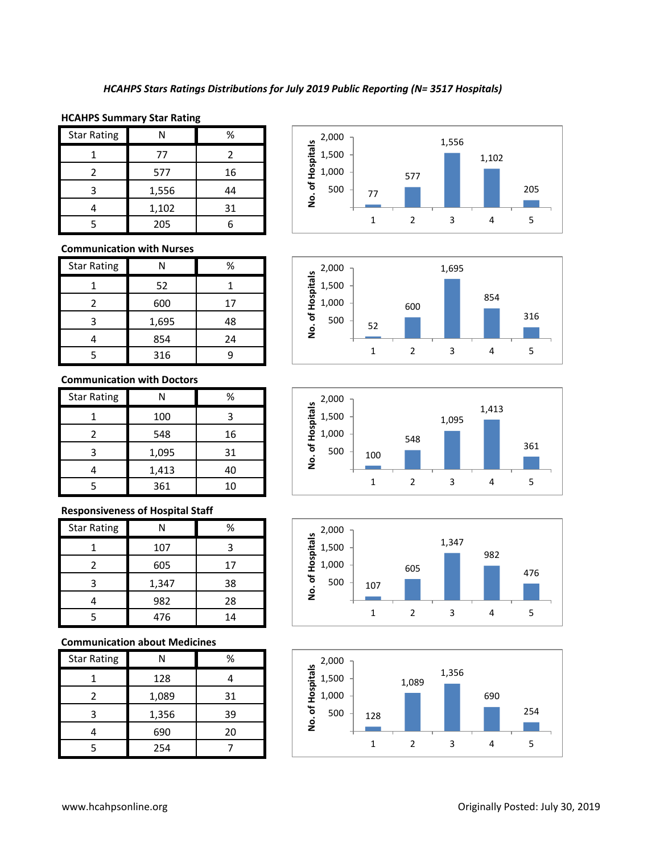## **HCAHPS Summary Star Rating**

| <b>Star Rating</b> | N     | ℅  |
|--------------------|-------|----|
|                    | 77    | 2  |
| 2                  | 577   | 16 |
| 3                  | 1,556 | 44 |
|                    | 1,102 | 31 |
| ς                  | 205   |    |

### **Communication with Nurses**

| <b>Star Rating</b> | N     | $\%$ |
|--------------------|-------|------|
|                    | 52    |      |
| 2                  | 600   | 17   |
| 3                  | 1,695 | 48   |
|                    | 854   | 24   |
| ς                  | 316   |      |

## **Communication with Doctors**

| <b>Star Rating</b> | N     | %  |
|--------------------|-------|----|
|                    | 100   | З  |
| 2                  | 548   | 16 |
| 3                  | 1,095 | 31 |
|                    | 1,413 | 40 |
|                    | 361   | 10 |

## **Responsiveness of Hospital Staff**

| <b>Star Rating</b> |       | %  |
|--------------------|-------|----|
|                    | 107   |    |
| 2                  | 605   | 17 |
|                    | 1,347 | 38 |
|                    | 982   | 28 |
|                    | 476   | 14 |

## **Communication about Medicines**

| <b>Star Rating</b> |       | %  |
|--------------------|-------|----|
|                    | 128   |    |
| 2                  | 1,089 | 31 |
| ς                  | 1,356 | 39 |
|                    | 690   | 20 |
|                    | 254   |    |









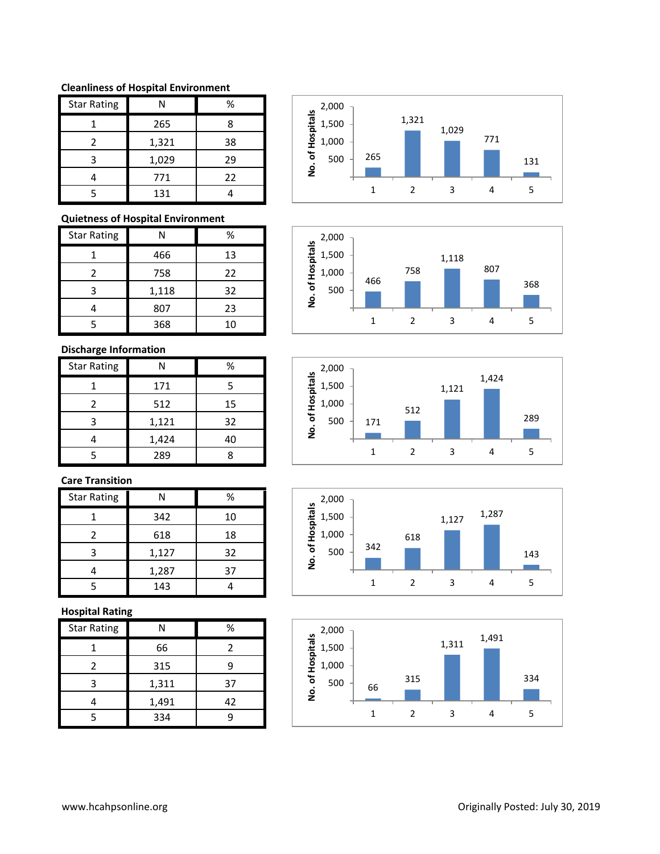#### **Cleanliness of Hospital Environment**

| <b>Star Rating</b> |       | %  |
|--------------------|-------|----|
|                    | 265   | 8  |
| 2                  | 1,321 | 38 |
| ੨                  | 1,029 | 29 |
|                    | 771   | 22 |
|                    | 131   |    |

## **Quietness of Hospital Environment**

| <b>Star Rating</b> |       | %  |
|--------------------|-------|----|
|                    | 466   | 13 |
| 2                  | 758   | 22 |
| 3                  | 1,118 | 32 |
|                    | 807   | 23 |
| 5                  | 368   | 10 |

# **Discharge Information**

| <b>Star Rating</b> |       | %  |
|--------------------|-------|----|
|                    | 171   | 5  |
| 2                  | 512   | 15 |
| 3                  | 1,121 | 32 |
|                    | 1,424 | 40 |
|                    | 289   |    |

# **Care Transition**

| <b>Star Rating</b> | Ν     | %  |
|--------------------|-------|----|
|                    | 342   | 10 |
| 2                  | 618   | 18 |
| ੨                  | 1,127 | 32 |
|                    | 1,287 | 37 |
|                    | 143   |    |

# **Hospital Rating**

| <b>Star Rating</b> |       | %  |
|--------------------|-------|----|
|                    | 66    | 2  |
| 2                  | 315   |    |
| ว                  | 1,311 | 37 |
|                    | 1,491 | 42 |
|                    | 334   |    |